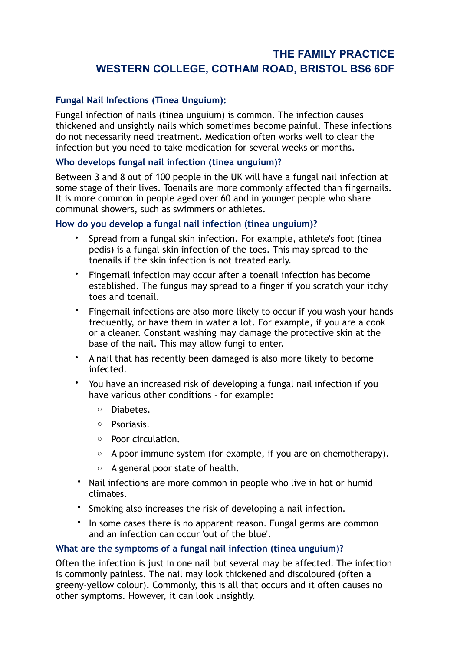# **Fungal Nail Infections (Tinea Unguium):**

Fungal infection of nails (tinea unguium) is common. The infection causes thickened and unsightly nails which sometimes become painful. These infections do not necessarily need treatment. Medication often works well to clear the infection but you need to take medication for several weeks or months.

# **Who develops fungal nail infection (tinea unguium)?**

Between 3 and 8 out of 100 people in the UK will have a fungal nail infection at some stage of their lives. Toenails are more commonly affected than fingernails. It is more common in people aged over 60 and in younger people who share communal showers, such as swimmers or athletes.

## **How do you develop a fungal nail infection (tinea unguium)?**

- Spread from a fungal skin infection. For example, [athlete's foot \(tinea](http://patient.info/health/athletes-foot-tinea-pedis)  [pedis\) is a fungal skin infection of the toes](http://patient.info/health/athletes-foot-tinea-pedis). This may spread to the toenails if the skin infection is not treated early.
- Fingernail infection may occur after a toenail infection has become established. The fungus may spread to a finger if you scratch your itchy toes and toenail.
- Fingernail infections are also more likely to occur if you wash your hands frequently, or have them in water a lot. For example, if you are a cook or a cleaner. Constant washing may damage the protective skin at the base of the nail. This may allow fungi to enter.
- A nail that has recently been damaged is also more likely to become infected.
- You have an increased risk of developing a fungal nail infection if you have various other conditions - for example:
	- o [Diabetes](http://patient.info/search.asp?searchterm=DIABETES).
	- o [Psoriasis.](http://patient.info/health/psoriasis-leaflet)
	- o Poor circulation.
	- $\circ$  A poor immune system (for example, if you are on [chemotherapy\)](http://patient.info/health/chemotherapy-with-cytotoxic-medicines).
	- $\circ$  A general poor state of health.
- Nail infections are more common in people who live in hot or humid climates.
- [Smoking also increases the risk of developing a nail infection](http://patient.info/health/the-benefits-of-stopping-smoking).
- In some cases there is no apparent reason. Fungal germs are common and an infection can occur 'out of the blue'.

## **What are the symptoms of a fungal nail infection (tinea unguium)?**

Often the infection is just in one nail but several may be affected. The infection is commonly painless. The nail may look thickened and discoloured (often a greeny-yellow colour). Commonly, this is all that occurs and it often causes no other symptoms. However, it can look unsightly.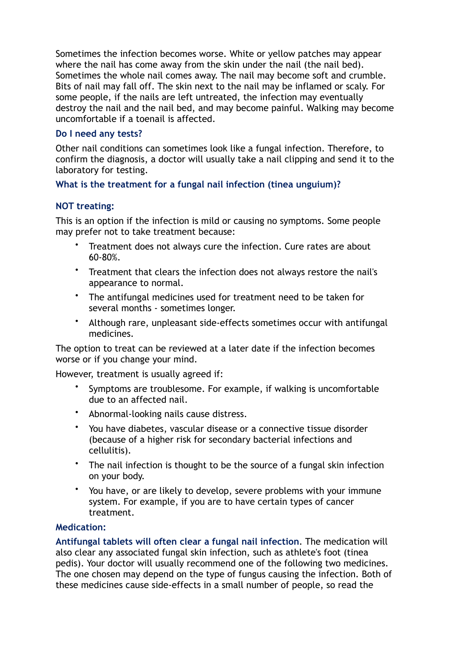Sometimes the infection becomes worse. White or yellow patches may appear where the nail has come away from the skin under the nail (the nail bed). Sometimes the whole nail comes away. The nail may become soft and crumble. Bits of nail may fall off. The skin next to the nail may be inflamed or scaly. For some people, if the nails are left untreated, the infection may eventually destroy the nail and the nail bed, and may become painful. Walking may become uncomfortable if a toenail is affected.

## **Do I need any tests?**

Other nail conditions can sometimes look like a fungal infection. Therefore, to confirm the diagnosis, a doctor will usually take a nail clipping and send it to the laboratory for testing.

# **What is the treatment for a fungal nail infection (tinea unguium)?**

# **NOT treating:**

This is an option if the infection is mild or causing no symptoms. Some people may prefer not to take treatment because:

- Treatment does not always cure the infection. Cure rates are about 60-80%.
- Treatment that clears the infection does not always restore the nail's appearance to normal.
- The antifungal medicines used for treatment need to be taken for several months - sometimes longer.
- Although rare, unpleasant side-effects sometimes occur with antifungal medicines.

The option to treat can be reviewed at a later date if the infection becomes worse or if you change your mind.

However, treatment is usually agreed if:

- Symptoms are troublesome. For example, if walking is uncomfortable due to an affected nail.
- Abnormal-looking nails cause distress.
- You have diabetes, vascular disease or a connective tissue disorder (because of a higher risk for secondary bacterial infections and cellulitis).
- The nail infection is thought to be the source of a fungal skin infection on your body.
- You have, or are likely to develop, severe problems with your immune system. For example, if you are to have certain types of cancer treatment.

## **Medication:**

**[Antifungal tablets will often clear a fungal nail infection](http://patient.info/health/antifungal-medicines)**. The medication will also clear any associated fungal skin infection, such as athlete's foot (tinea pedis). Your doctor will usually recommend one of the following two medicines. The one chosen may depend on the type of fungus causing the infection. Both of these medicines cause side-effects in a small number of people, so read the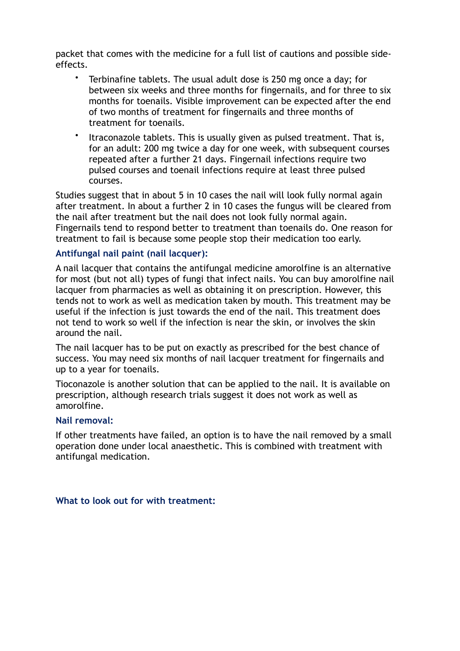packet that comes with the medicine for a full list of cautions and possible sideeffects.

- [Terbinafine](http://patient.info/medicine/terbinafine-tablets) tablets. The usual adult dose is 250 mg once a day; for between six weeks and three months for fingernails, and for three to six months for toenails. Visible improvement can be expected after the end of two months of treatment for fingernails and three months of treatment for toenails.
- [Itraconazole](http://patient.info/medicine/itraconazole-for-fungal-infections-sporanox) tablets. This is usually given as pulsed treatment. That is, for an adult: 200 mg twice a day for one week, with subsequent courses repeated after a further 21 days. Fingernail infections require two pulsed courses and toenail infections require at least three pulsed courses.

Studies suggest that in about 5 in 10 cases the nail will look fully normal again after treatment. In about a further 2 in 10 cases the fungus will be cleared from the nail after treatment but the nail does not look fully normal again. Fingernails tend to respond better to treatment than toenails do. One reason for treatment to fail is because some people stop their medication too early.

#### **Antifungal nail paint (nail lacquer):**

A nail lacquer that contains the antifungal medicine amorolfine is an alternative for most (but not all) types of fungi that infect nails. You can buy [amorolfine nail](http://patient.info/medicine/amorolfine-for-fungal-nail-infections-curanail-loceryl-omicur)  [lacquer](http://patient.info/medicine/amorolfine-for-fungal-nail-infections-curanail-loceryl-omicur) from pharmacies as well as obtaining it on prescription. However, this tends not to work as well as medication taken by mouth. This treatment may be useful if the infection is just towards the end of the nail. This treatment does not tend to work so well if the infection is near the skin, or involves the skin around the nail.

The nail lacquer has to be put on exactly as prescribed for the best chance of success. You may need six months of nail lacquer treatment for fingernails and up to a year for toenails.

[Tioconazole](http://patient.info/medicine/tioconazole-for-fungal-nail-infections-trosyl) is another solution that can be applied to the nail. It is available on prescription, although research trials suggest it does not work as well as amorolfine.

#### **Nail removal:**

If other treatments have failed, an option is to have the nail removed by a small operation done under local anaesthetic. This is combined with treatment with antifungal medication.

#### **What to look out for with treatment:**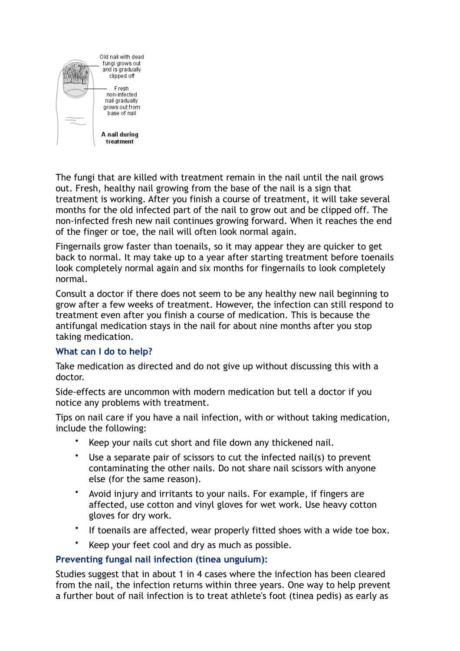

The fungi that are killed with treatment remain in the nail until the nail grows out. Fresh, healthy nail growing from the base of the nail is a sign that treatment is working. After you finish a course of treatment, it will take several months for the old infected part of the nail to grow out and be clipped off. The non-infected fresh new nail continues growing forward. When it reaches the end of the finger or toe, the nail will often look normal again.

Fingernails grow faster than toenails, so it may appear they are quicker to get back to normal. It may take up to a year after starting treatment before toenails look completely normal again and six months for fingernails to look completely normal.

Consult a doctor if there does not seem to be any healthy new nail beginning to grow after a few weeks of treatment. However, the infection can still respond to treatment even after you finish a course of medication. This is because the antifungal medication stays in the nail for about nine months after you stop taking medication.

## **What can I do to help?**

Take medication as directed and do not give up without discussing this with a doctor.

Side-effects are uncommon with modern medication but tell a doctor if you notice any problems with treatment.

Tips on nail care if you have a nail infection, with or without taking medication, include the following:

- Keep your nails cut short and file down any thickened nail.
- Use a separate pair of scissors to cut the infected nail(s) to prevent contaminating the other nails. Do not share nail scissors with anyone else (for the same reason).
- Avoid injury and irritants to your nails. For example, if fingers are affected, use cotton and vinyl gloves for wet work. Use heavy cotton gloves for dry work.
- If toenails are affected, wear properly fitted shoes with a wide toe box.
- Keep your feet cool and dry as much as possible.

## **Preventing fungal nail infection (tinea unguium):**

Studies suggest that in about 1 in 4 cases where the infection has been cleared from the nail, the infection returns within three years. One way to help prevent a further bout of nail infection is to treat athlete's foot (tinea pedis) as early as